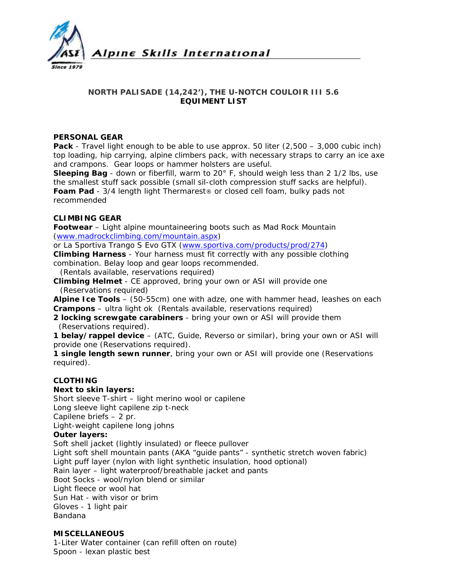

## **NORTH PALISADE (14,242'), THE U-NOTCH COULOIR III 5.6 EQUIMENT LIST**

#### **PERSONAL GEAR**

**Pack** - Travel light enough to be able to use approx. 50 liter (2,500 – 3,000 cubic inch) top loading, hip carrying, alpine climbers pack, with necessary straps to carry an ice axe and crampons. Gear loops or hammer holsters are useful.

**Sleeping Bag** - down or fiberfill, warm to 20° F, should weigh less than 2 1/2 lbs, use the smallest stuff sack possible (small sil-cloth compression stuff sacks are helpful). **Foam Pad** - 3/4 length light Thermarest® or closed cell foam, bulky pads not recommended

## **CLIMBING GEAR**

**Footwear** – Light alpine mountaineering boots such as Mad Rock Mountain ([www.madrockclimbing.com/mountain.aspx\)](http://www.madrockclimbing.com/mountain.aspx)

or La Sportiva Trango S Evo GTX [\(www.sportiva.com/products/prod/274](http://www.sportiva.com/products/prod/274))

**Climbing Harness** - Your harness must fit correctly with any possible clothing combination. Belay loop and gear loops recommended.

*(Rentals available, reservations required)* 

**Climbing Helmet** - CE approved, bring your own or ASI will provide one (*Reservations required)* 

**Alpine Ice Tools** – (50-55cm) one with adze, one with hammer head, leashes on each **Crampons** – ultra light ok *(Rentals available, reservations required)*

**2 locking screwgate carabiners** - bring your own or ASI will provide them  *(Reservations required).* 

**1 belay/rappel device** – (ATC, Guide, Reverso or similar), bring your own or ASI will provide one *(Reservations required).* 

**1 single length sewn runner**, bring your own or ASI will provide one *(Reservations required).* 

## **CLOTHING**

## **Next to skin layers:**

Short sleeve T-shirt – light merino wool or capilene Long sleeve light capilene zip t-neck Capilene briefs – 2 pr.

Light-weight capilene long johns

# **Outer layers:**

Soft shell jacket (lightly insulated) or fleece pullover Light soft shell mountain pants (AKA "guide pants" - synthetic stretch woven fabric) Light puff layer (nylon with light synthetic insulation, hood optional) Rain layer – light waterproof/breathable jacket and pants Boot Socks - wool/nylon blend or similar Light fleece or wool hat Sun Hat - with visor or brim Gloves - 1 light pair Bandana

## **MISCELLANEOUS**

1-Liter Water container (can refill often on route) Spoon - lexan plastic best